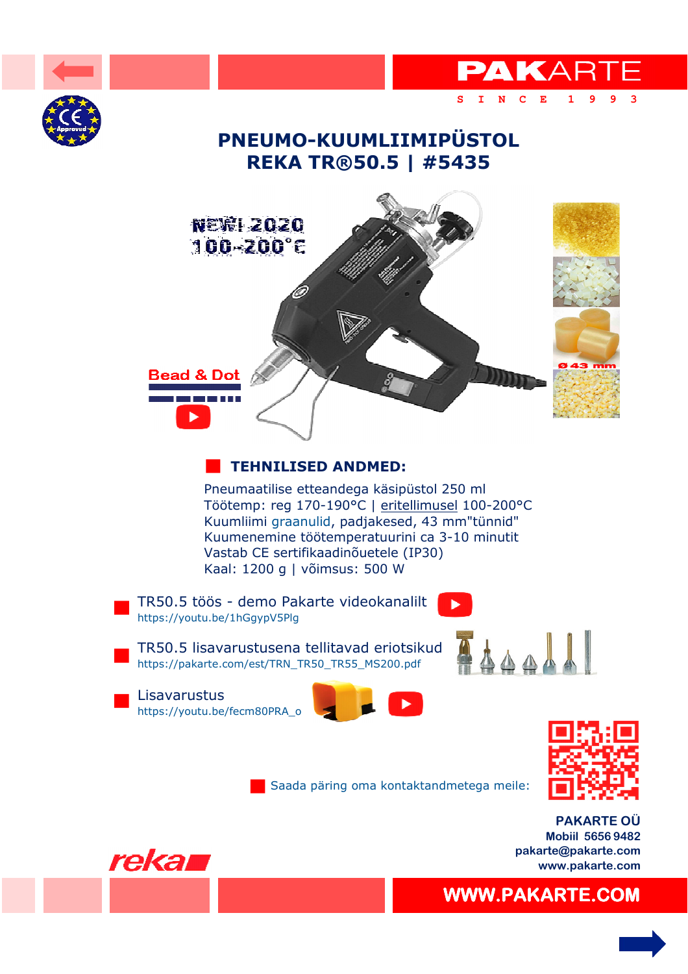

 [WWW.PAKARTE.COM](https://pakarte.com/index.html)